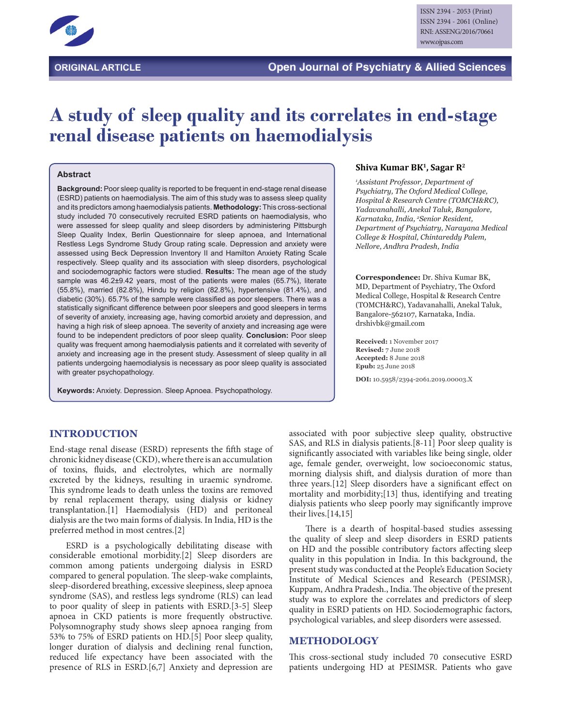

# **A study of sleep quality and its correlates in end-stage renal disease patients on haemodialysis**

#### **Abstract**

**Background:** Poor sleep quality is reported to be frequent in end-stage renal disease (ESRD) patients on haemodialysis. The aim of this study was to assess sleep quality and its predictors among haemodialysis patients. **Methodology:** This cross-sectional study included 70 consecutively recruited ESRD patients on haemodialysis, who were assessed for sleep quality and sleep disorders by administering Pittsburgh Sleep Quality Index, Berlin Questionnaire for sleep apnoea, and International Restless Legs Syndrome Study Group rating scale. Depression and anxiety were assessed using Beck Depression Inventory II and Hamilton Anxiety Rating Scale respectively. Sleep quality and its association with sleep disorders, psychological and sociodemographic factors were studied. **Results:** The mean age of the study sample was 46.2±9.42 years, most of the patients were males (65.7%), literate (55.8%), married (82.8%), Hindu by religion (82.8%), hypertensive (81.4%), and diabetic (30%). 65.7% of the sample were classified as poor sleepers. There was a statistically significant difference between poor sleepers and good sleepers in terms of severity of anxiety, increasing age, having comorbid anxiety and depression, and having a high risk of sleep apnoea. The severity of anxiety and increasing age were found to be independent predictors of poor sleep quality. **Conclusion:** Poor sleep quality was frequent among haemodialysis patients and it correlated with severity of anxiety and increasing age in the present study. Assessment of sleep quality in all patients undergoing haemodialysis is necessary as poor sleep quality is associated with greater psychopathology.

**Keywords:** Anxiety. Depression. Sleep Apnoea. Psychopathology.

#### **Shiva Kumar BK1, Sagar R2**

*1 Assistant Professor, Department of Psychiatry, The Oxford Medical College, Hospital & Research Centre (TOMCH&RC), Yadavanahalli, Anekal Taluk, Bangalore, Karnataka, India, 2 Senior Resident, Department of Psychiatry, Narayana Medical College & Hospital, Chintareddy Palem, Nellore, Andhra Pradesh, India*

**Correspondence:** Dr. Shiva Kumar BK, MD, Department of Psychiatry, The Oxford Medical College, Hospital & Research Centre (TOMCH&RC), Yadavanahalli, Anekal Taluk, Bangalore-562107, Karnataka, India. drshivbk@gmail.com

**Received:** 1 November 2017 **Revised:** 7 June 2018 **Accepted:** 8 June 2018 **Epub:** 25 June 2018

**DOI:** 10.5958/2394-2061.2019.00003.X

### **INTRODUCTION**

End-stage renal disease (ESRD) represents the fifth stage of chronic kidney disease (CKD), where there is an accumulation of toxins, fluids, and electrolytes, which are normally excreted by the kidneys, resulting in uraemic syndrome. This syndrome leads to death unless the toxins are removed by renal replacement therapy, using dialysis or kidney transplantation.[1] Haemodialysis (HD) and peritoneal dialysis are the two main forms of dialysis. In India, HD is the preferred method in most centres.[2]

ESRD is a psychologically debilitating disease with considerable emotional morbidity.[2] Sleep disorders are common among patients undergoing dialysis in ESRD compared to general population. The sleep-wake complaints, sleep-disordered breathing, excessive sleepiness, sleep apnoea syndrome (SAS), and restless legs syndrome (RLS) can lead to poor quality of sleep in patients with ESRD.[3-5] Sleep apnoea in CKD patients is more frequently obstructive. Polysomnography study shows sleep apnoea ranging from 53% to 75% of ESRD patients on HD.[5] Poor sleep quality, longer duration of dialysis and declining renal function, reduced life expectancy have been associated with the presence of RLS in ESRD.[6,7] Anxiety and depression are

associated with poor subjective sleep quality, obstructive SAS, and RLS in dialysis patients.[8-11] Poor sleep quality is significantly associated with variables like being single, older age, female gender, overweight, low socioeconomic status, morning dialysis shift, and dialysis duration of more than three years.[12] Sleep disorders have a significant effect on mortality and morbidity;[13] thus, identifying and treating dialysis patients who sleep poorly may significantly improve their lives.[14,15]

There is a dearth of hospital-based studies assessing the quality of sleep and sleep disorders in ESRD patients on HD and the possible contributory factors affecting sleep quality in this population in India. In this background, the present study was conducted at the People's Education Society Institute of Medical Sciences and Research (PESIMSR), Kuppam, Andhra Pradesh., India. The objective of the present study was to explore the correlates and predictors of sleep quality in ESRD patients on HD. Sociodemographic factors, psychological variables, and sleep disorders were assessed.

#### **METHODOLOGY**

This cross-sectional study included 70 consecutive ESRD patients undergoing HD at PESIMSR. Patients who gave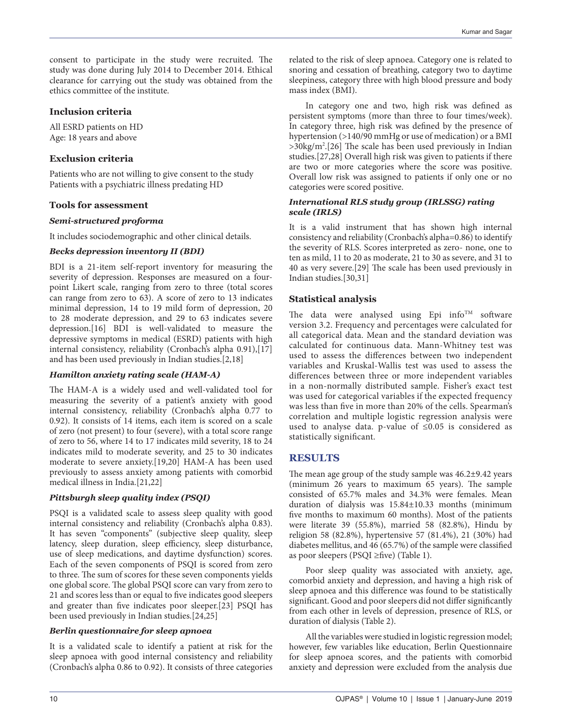consent to participate in the study were recruited. The study was done during July 2014 to December 2014. Ethical clearance for carrying out the study was obtained from the ethics committee of the institute.

## **Inclusion criteria**

All ESRD patients on HD Age: 18 years and above

# **Exclusion criteria**

Patients who are not willing to give consent to the study Patients with a psychiatric illness predating HD

### **Tools for assessment**

### *Semi-structured proforma*

It includes sociodemographic and other clinical details.

### *Becks depression inventory II (BDI)*

BDI is a 21-item self-report inventory for measuring the severity of depression. Responses are measured on a fourpoint Likert scale, ranging from zero to three (total scores can range from zero to 63). A score of zero to 13 indicates minimal depression, 14 to 19 mild form of depression, 20 to 28 moderate depression, and 29 to 63 indicates severe depression.[16] BDI is well-validated to measure the depressive symptoms in medical (ESRD) patients with high internal consistency, reliability (Cronbach's alpha 0.91),[17] and has been used previously in Indian studies.[2,18]

### *Hamilton anxiety rating scale (HAM-A)*

The HAM-A is a widely used and well-validated tool for measuring the severity of a patient's anxiety with good internal consistency, reliability (Cronbach's alpha 0.77 to 0.92). It consists of 14 items, each item is scored on a scale of zero (not present) to four (severe), with a total score range of zero to 56, where 14 to 17 indicates mild severity, 18 to 24 indicates mild to moderate severity, and 25 to 30 indicates moderate to severe anxiety.[19,20] HAM-A has been used previously to assess anxiety among patients with comorbid medical illness in India.[21,22]

### *Pittsburgh sleep quality index (PSQI)*

PSQI is a validated scale to assess sleep quality with good internal consistency and reliability (Cronbach's alpha 0.83). It has seven "components" (subjective sleep quality, sleep latency, sleep duration, sleep efficiency, sleep disturbance, use of sleep medications, and daytime dysfunction) scores. Each of the seven components of PSQI is scored from zero to three. The sum of scores for these seven components yields one global score. The global PSQI score can vary from zero to 21 and scores less than or equal to five indicates good sleepers and greater than five indicates poor sleeper.[23] PSQI has been used previously in Indian studies.[24,25]

### *Berlin questionnaire for sleep apnoea*

It is a validated scale to identify a patient at risk for the sleep apnoea with good internal consistency and reliability (Cronbach's alpha 0.86 to 0.92). It consists of three categories related to the risk of sleep apnoea. Category one is related to snoring and cessation of breathing, category two to daytime sleepiness, category three with high blood pressure and body mass index (BMI).

In category one and two, high risk was defined as persistent symptoms (more than three to four times/week). In category three, high risk was defined by the presence of hypertension (>140/90 mmHg or use of medication) or a BMI >30kg/m<sup>2</sup>.[26] The scale has been used previously in Indian studies.[27,28] Overall high risk was given to patients if there are two or more categories where the score was positive. Overall low risk was assigned to patients if only one or no categories were scored positive.

### *International RLS study group (IRLSSG) rating scale (IRLS)*

It is a valid instrument that has shown high internal consistency and reliability (Cronbach's alpha=0.86) to identify the severity of RLS. Scores interpreted as zero- none, one to ten as mild, 11 to 20 as moderate, 21 to 30 as severe, and 31 to 40 as very severe.[29] The scale has been used previously in Indian studies.[30,31]

### **Statistical analysis**

The data were analysed using Epi info<sup>TM</sup> software version 3.2. Frequency and percentages were calculated for all categorical data. Mean and the standard deviation was calculated for continuous data. Mann-Whitney test was used to assess the differences between two independent variables and Kruskal-Wallis test was used to assess the differences between three or more independent variables in a non-normally distributed sample. Fisher's exact test was used for categorical variables if the expected frequency was less than five in more than 20% of the cells. Spearman's correlation and multiple logistic regression analysis were used to analyse data. p-value of ≤0.05 is considered as statistically significant.

# **RESULTS**

The mean age group of the study sample was 46.2±9.42 years (minimum 26 years to maximum 65 years). The sample consisted of 65.7% males and 34.3% were females. Mean duration of dialysis was 15.84±10.33 months (minimum five months to maximum 60 months). Most of the patients were literate 39 (55.8%), married 58 (82.8%), Hindu by religion 58 (82.8%), hypertensive 57 (81.4%), 21 (30%) had diabetes mellitus, and 46 (65.7%) of the sample were classified as poor sleepers (PSQI ≥five) (Table 1).

Poor sleep quality was associated with anxiety, age, comorbid anxiety and depression, and having a high risk of sleep apnoea and this difference was found to be statistically significant. Good and poor sleepers did not differ significantly from each other in levels of depression, presence of RLS, or duration of dialysis (Table 2).

All the variables were studied in logistic regression model; however, few variables like education, Berlin Questionnaire for sleep apnoea scores, and the patients with comorbid anxiety and depression were excluded from the analysis due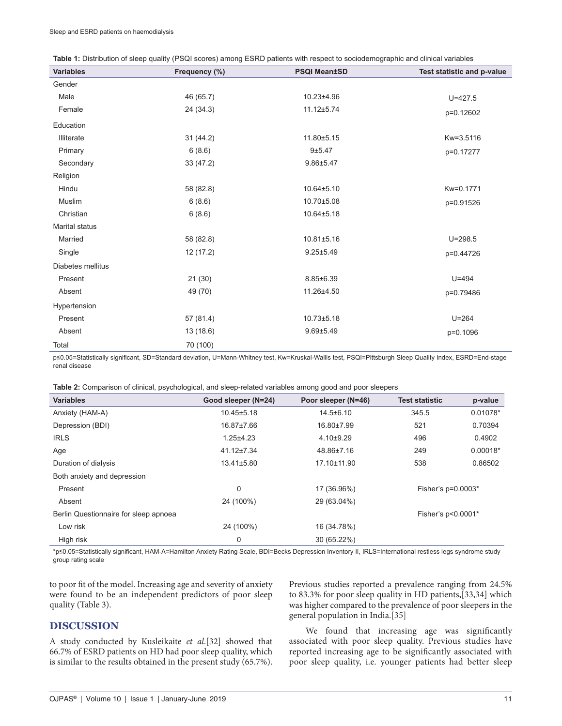| <b>Variables</b>  | Frequency (%) | <b>PSQI Mean±SD</b> | Test statistic and p-value |
|-------------------|---------------|---------------------|----------------------------|
| Gender            |               |                     |                            |
| Male              | 46 (65.7)     | 10.23±4.96          | $U = 427.5$                |
| Female            | 24 (34.3)     | 11.12±5.74          | p=0.12602                  |
| Education         |               |                     |                            |
| Illiterate        | 31 (44.2)     | 11.80±5.15          | Kw=3.5116                  |
| Primary           | 6(8.6)        | 9±5.47              | p=0.17277                  |
| Secondary         | 33(47.2)      | $9.86 + 5.47$       |                            |
| Religion          |               |                     |                            |
| Hindu             | 58 (82.8)     | 10.64±5.10          | Kw=0.1771                  |
| Muslim            | 6(8.6)        | 10.70±5.08          | p=0.91526                  |
| Christian         | 6(8.6)        | 10.64±5.18          |                            |
| Marital status    |               |                     |                            |
| Married           | 58 (82.8)     | 10.81±5.16          | $U = 298.5$                |
| Single            | 12 (17.2)     | $9.25 \pm 5.49$     | p=0.44726                  |
| Diabetes mellitus |               |                     |                            |
| Present           | 21(30)        | 8.85±6.39           | $U = 494$                  |
| Absent            | 49 (70)       | 11.26±4.50          | p=0.79486                  |
| Hypertension      |               |                     |                            |
| Present           | 57 (81.4)     | 10.73±5.18          | $U = 264$                  |
| Absent            | 13 (18.6)     | $9.69 \pm 5.49$     | p=0.1096                   |
| Total             | 70 (100)      |                     |                            |

p≤0.05=Statistically significant, SD=Standard deviation, U=Mann-Whitney test, Kw=Kruskal-Wallis test, PSQI=Pittsburgh Sleep Quality Index, ESRD=End-stage renal disease

| Table 2: Comparison of clinical, psychological, and sleep-related variables among good and poor sleepers |
|----------------------------------------------------------------------------------------------------------|
|----------------------------------------------------------------------------------------------------------|

| <b>Variables</b>                      | Good sleeper (N=24) | Poor sleeper (N=46) | <b>Test statistic</b> | p-value    |
|---------------------------------------|---------------------|---------------------|-----------------------|------------|
| Anxiety (HAM-A)                       | $10.45 \pm 5.18$    | $14.5 \pm 6.10$     | 345.5                 | 0.01078*   |
| Depression (BDI)                      | 16.87±7.66          | 16.80±7.99          | 521                   | 0.70394    |
| <b>IRLS</b>                           | $1.25 + 4.23$       | $4.10+9.29$         | 496                   | 0.4902     |
| Age                                   | 41.12±7.34          | 48.86±7.16          | 249                   | $0.00018*$ |
| Duration of dialysis                  | $13.41 \pm 5.80$    | 17.10±11.90         | 538                   | 0.86502    |
| Both anxiety and depression           |                     |                     |                       |            |
| Present                               | 0                   | 17 (36.96%)         | Fisher's $p=0.0003*$  |            |
| Absent                                | 24 (100%)           | 29 (63.04%)         |                       |            |
| Berlin Questionnaire for sleep apnoea |                     |                     | Fisher's p<0.0001*    |            |
| Low risk                              | 24 (100%)           | 16 (34.78%)         |                       |            |
| High risk                             | 0                   | 30 (65.22%)         |                       |            |

\*p≤0.05=Statistically significant, HAM‑A=Hamilton Anxiety Rating Scale, BDI=Becks Depression Inventory II, IRLS=International restless legs syndrome study group rating scale

to poor fit of the model. Increasing age and severity of anxiety were found to be an independent predictors of poor sleep quality (Table 3).

### **DISCUSSION**

A study conducted by Kusleikaite *et al*.[32] showed that 66.7% of ESRD patients on HD had poor sleep quality, which is similar to the results obtained in the present study (65.7%). Previous studies reported a prevalence ranging from 24.5% to 83.3% for poor sleep quality in HD patients,[33,34] which was higher compared to the prevalence of poor sleepers in the general population in India.[35]

We found that increasing age was significantly associated with poor sleep quality. Previous studies have reported increasing age to be significantly associated with poor sleep quality, i.e. younger patients had better sleep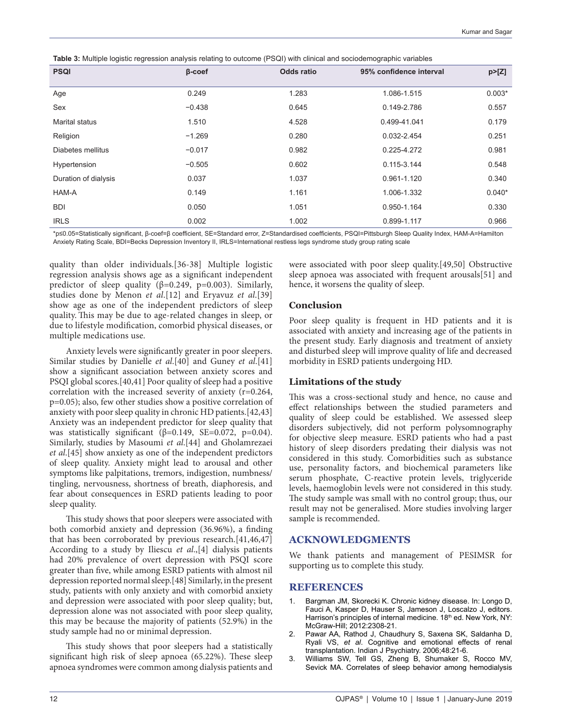**Table 3:** Multiple logistic regression analysis relating to outcome (PSQI) with clinical and sociodemographic variables

| <b>PSQI</b>          | $\beta$ -coef | <b>Odds ratio</b> | 95% confidence interval | p>[Z]    |
|----------------------|---------------|-------------------|-------------------------|----------|
| Age                  | 0.249         | 1.283             | 1.086-1.515             | $0.003*$ |
| Sex                  | $-0.438$      | 0.645             | 0.149-2.786             | 0.557    |
| Marital status       | 1.510         | 4.528             | 0.499-41.041            | 0.179    |
| Religion             | $-1.269$      | 0.280             | 0.032-2.454             | 0.251    |
| Diabetes mellitus    | $-0.017$      | 0.982             | 0.225-4.272             | 0.981    |
| Hypertension         | $-0.505$      | 0.602             | 0.115-3.144             | 0.548    |
| Duration of dialysis | 0.037         | 1.037             | 0.961-1.120             | 0.340    |
| HAM-A                | 0.149         | 1.161             | 1.006-1.332             | $0.040*$ |
| <b>BDI</b>           | 0.050         | 1.051             | 0.950-1.164             | 0.330    |
| <b>IRLS</b>          | 0.002         | 1.002             | 0.899-1.117             | 0.966    |

\*p≤0.05=Statistically significant, β‑coef=β coefficient, SE=Standard error, Z=Standardised coefficients, PSQI=Pittsburgh Sleep Quality Index, HAM‑A=Hamilton Anxiety Rating Scale, BDI=Becks Depression Inventory II, IRLS=International restless legs syndrome study group rating scale

quality than older individuals.[36-38] Multiple logistic regression analysis shows age as a significant independent predictor of sleep quality ( $\beta$ =0.249, p=0.003). Similarly, studies done by Menon *et al*.[12] and Eryavuz *et al*.[39] show age as one of the independent predictors of sleep quality. This may be due to age-related changes in sleep, or due to lifestyle modification, comorbid physical diseases, or multiple medications use.

Anxiety levels were significantly greater in poor sleepers. Similar studies by Danielle *et al*.[40] and Guney *et al*.[41] show a significant association between anxiety scores and PSQI global scores.[40,41] Poor quality of sleep had a positive correlation with the increased severity of anxiety (r=0.264, p=0.05); also, few other studies show a positive correlation of anxiety with poor sleep quality in chronic HD patients.[42,43] Anxiety was an independent predictor for sleep quality that was statistically significant ( $\beta$ =0.149, SE=0.072, p=0.04). Similarly, studies by Masoumi *et al*.[44] and Gholamrezaei *et al*.[45] show anxiety as one of the independent predictors of sleep quality. Anxiety might lead to arousal and other symptoms like palpitations, tremors, indigestion, numbness/ tingling, nervousness, shortness of breath, diaphoresis, and fear about consequences in ESRD patients leading to poor sleep quality.

This study shows that poor sleepers were associated with both comorbid anxiety and depression (36.96%), a finding that has been corroborated by previous research.[41,46,47] According to a study by Iliescu *et al*.,[4] dialysis patients had 20% prevalence of overt depression with PSQI score greater than five, while among ESRD patients with almost nil depression reported normal sleep.[48] Similarly, in the present study, patients with only anxiety and with comorbid anxiety and depression were associated with poor sleep quality; but, depression alone was not associated with poor sleep quality, this may be because the majority of patients (52.9%) in the study sample had no or minimal depression.

This study shows that poor sleepers had a statistically significant high risk of sleep apnoea (65.22%). These sleep apnoea syndromes were common among dialysis patients and were associated with poor sleep quality.[49,50] Obstructive sleep apnoea was associated with frequent arousals[51] and hence, it worsens the quality of sleep.

#### **Conclusion**

Poor sleep quality is frequent in HD patients and it is associated with anxiety and increasing age of the patients in the present study. Early diagnosis and treatment of anxiety and disturbed sleep will improve quality of life and decreased morbidity in ESRD patients undergoing HD.

#### **Limitations of the study**

This was a cross-sectional study and hence, no cause and effect relationships between the studied parameters and quality of sleep could be established. We assessed sleep disorders subjectively, did not perform polysomnography for objective sleep measure. ESRD patients who had a past history of sleep disorders predating their dialysis was not considered in this study. Comorbidities such as substance use, personality factors, and biochemical parameters like serum phosphate, C-reactive protein levels, triglyceride levels, haemoglobin levels were not considered in this study. The study sample was small with no control group; thus, our result may not be generalised. More studies involving larger sample is recommended.

#### **ACKNOWLEDGMENTS**

We thank patients and management of PESIMSR for supporting us to complete this study.

#### **REFERENCES**

- 1. Bargman JM, Skorecki K. Chronic kidney disease. In: Longo D, Fauci A, Kasper D, Hauser S, Jameson J, Loscalzo J, editors. Harrison's principles of internal medicine. 18<sup>th</sup> ed. New York, NY: McGraw-Hill; 2012:2308-21.
- 2. Pawar AA, Rathod J, Chaudhury S, Saxena SK, Saldanha D, Ryali VS, *et al*. Cognitive and emotional effects of renal transplantation. Indian J Psychiatry. 2006;48:21-6.
- 3. Williams SW, Tell GS, Zheng B, Shumaker S, Rocco MV, Sevick MA. Correlates of sleep behavior among hemodialysis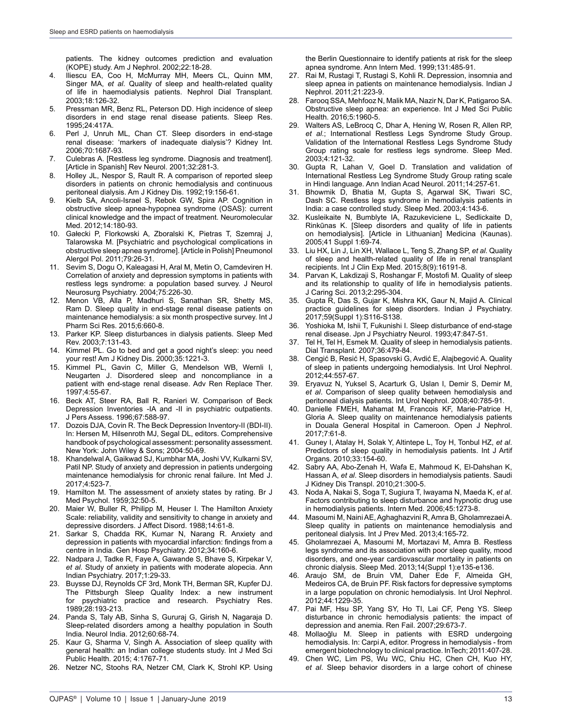patients. The kidney outcomes prediction and evaluation (KOPE) study. Am J Nephrol. 2002;22:18-28.

- 4. Iliescu EA, Coo H, McMurray MH, Meers CL, Quinn MM, Singer MA, *et al*. Quality of sleep and health-related quality of life in haemodialysis patients. Nephrol Dial Transplant. 2003;18:126-32.
- 5. Pressman MR, Benz RL, Peterson DD. High incidence of sleep disorders in end stage renal disease patients. Sleep Res. 1995;24:417A.
- 6. Perl J, Unruh ML, Chan CT. Sleep disorders in end-stage renal disease: 'markers of inadequate dialysis'? Kidney Int. 2006;70:1687-93.
- 7. Culebras A. [Restless leg syndrome. Diagnosis and treatment]. [Article in Spanish] Rev Neurol. 2001;32:281-3.
- 8. Holley JL, Nespor S, Rault R. A comparison of reported sleep disorders in patients on chronic hemodialysis and continuous peritoneal dialysis. Am J Kidney Dis. 1992;19:156-61.
- 9. Kielb SA, Ancoli-Israel S, Rebok GW, Spira AP. Cognition in obstructive sleep apnea-hypopnea syndrome (OSAS): current clinical knowledge and the impact of treatment. Neuromolecular Med. 2012;14:180-93.
- 10. Gałecki P, Florkowski A, Zboralski K, Pietras T, Szemraj J, Talarowska M. [Psychiatric and psychological complications in obstructive sleep apnea syndrome]. [Article in Polish] Pneumonol Alergol Pol. 2011;79:26-31.
- 11. Sevim S, Dogu O, Kaleagasi H, Aral M, Metin O, Camdeviren H. Correlation of anxiety and depression symptoms in patients with restless legs syndrome: a population based survey. J Neurol Neurosurg Psychiatry. 2004;75:226-30.
- 12. Menon VB, Alla P, Madhuri S, Sanathan SR, Shetty MS, Ram D. Sleep quality in end-stage renal disease patients on maintenance hemodialysis: a six month prospective survey. Int J Pharm Sci Res. 2015;6:660-8.
- 13. Parker KP. Sleep disturbances in dialysis patients. Sleep Med Rev. 2003;7:131-43.
- 14. Kimmel PL. Go to bed and get a good night's sleep: you need your rest! Am J Kidney Dis. 2000;35:1221-3.
- 15. Kimmel PL, Gavin C, Miller G, Mendelson WB, Wernli I, Neugarten J. Disordered sleep and noncompliance in a patient with end-stage renal disease. Adv Ren Replace Ther. 1997;4:55-67.
- 16. Beck AT, Steer RA, Ball R, Ranieri W. Comparison of Beck Depression Inventories -IA and -II in psychiatric outpatients. J Pers Assess. 1996;67:588-97.
- 17. Dozois DJA, Covin R. The Beck Depression Inventory-II (BDI-II). In: Hersen M, Hilsenroth MJ, Segal DL, editors. Comprehensive handbook of psychological assessment: personality assessment. New York: John Wiley & Sons; 2004:50-69.
- 18. Khandelwal A, Gaikwad SJ, Kumbhar MA, Joshi VV, Kulkarni SV, Patil NP. Study of anxiety and depression in patients undergoing maintenance hemodialysis for chronic renal failure. Int Med J. 2017;4:523-7.
- 19. Hamilton M. The assessment of anxiety states by rating. Br J Med Psychol. 1959;32:50-5.
- 20. Maier W, Buller R, Philipp M, Heuser I. The Hamilton Anxiety Scale: reliability, validity and sensitivity to change in anxiety and depressive disorders. J Affect Disord. 1988;14:61-8.
- 21. Sarkar S, Chadda RK, Kumar N, Narang R. Anxiety and depression in patients with myocardial infarction: findings from a centre in India. Gen Hosp Psychiatry. 2012;34:160-6.
- 22. Nadpara J, Tadke R, Faye A, Gawande S, Bhave S, Kirpekar V, *et al*. Study of anxiety in patients with moderate alopecia. Ann Indian Psychiatry. 2017;1:29-33.
- 23. Buysse DJ, Reynolds CF 3rd, Monk TH, Berman SR, Kupfer DJ. The Pittsburgh Sleep Quality Index: a new instrument for psychiatric practice and research. Psychiatry Res. 1989;28:193-213.
- 24. Panda S, Taly AB, Sinha S, Gururaj G, Girish N, Nagaraja D. Sleep-related disorders among a healthy population in South India. Neurol India. 2012;60:68-74.
- 25. Kaur G, Sharma V, Singh A. Association of sleep quality with general health: an Indian college students study. Int J Med Sci Public Health. 2015; 4:1767-71.
- 26. Netzer NC, Stoohs RA, Netzer CM, Clark K, Strohl KP. Using

the Berlin Questionnaire to identify patients at risk for the sleep apnea syndrome. Ann Intern Med. 1999;131:485-91.

- 27. Rai M, Rustagi T, Rustagi S, Kohli R. Depression, insomnia and sleep apnea in patients on maintenance hemodialysis. Indian J Nephrol. 2011;21:223-9.
- 28. Farooq SSA, Mehfooz N, Malik MA, Nazir N, Dar K, Patigaroo SA. Obstructive sleep apnea: an experience. Int J Med Sci Public Health. 2016;5:1960-5.
- 29. Walters AS, LeBrocq C, Dhar A, Hening W, Rosen R, Allen RP, *et al*.; International Restless Legs Syndrome Study Group. Validation of the International Restless Legs Syndrome Study Group rating scale for restless legs syndrome. Sleep Med. 2003;4:121-32.
- 30. Gupta R, Lahan V, Goel D. Translation and validation of International Restless Leg Syndrome Study Group rating scale in Hindi language. Ann Indian Acad Neurol. 2011;14:257-61.
- 31. Bhowmik D, Bhatia M, Gupta S, Agarwal SK, Tiwari SC, Dash SC. Restless legs syndrome in hemodialysis patients in India: a case controlled study. Sleep Med. 2003;4:143-6.
- 32. Kusleikaite N, Bumblyte IA, Razukeviciene L, Sedlickaite D, Rinkūnas K. [Sleep disorders and quality of life in patients on hemodialysis]. [Article in Lithuanian] Medicina (Kaunas). 2005;41 Suppl 1:69-74.
- 33. Liu HX, Lin J, Lin XH, Wallace L, Teng S, Zhang SP, *et al*. Quality of sleep and health-related quality of life in renal transplant recipients. Int J Clin Exp Med. 2015;8(9):16191-8.
- 34. Parvan K, Lakdizaji S, Roshangar F, Mostofi M. Quality of sleep and its relationship to quality of life in hemodialysis patients. J Caring Sci. 2013;2:295-304.
- 35. Gupta R, Das S, Gujar K, Mishra KK, Gaur N, Majid A. Clinical practice guidelines for sleep disorders. Indian J Psychiatry. 2017;59(Suppl 1):S116-S138.
- 36. Yoshioka M, Ishii T, Fukunishi I. Sleep disturbance of end-stage renal disease. Jpn J Psychiatry Neurol. 1993;47:847-51.
- 37. Tel H, Tel H, Esmek M. Quality of sleep in hemodialysis patients. Dial Transplant. 2007;36:479-84.
- 38. Cengić B, Resić H, Spasovski G, Avdić E, Alajbegović A. Quality of sleep in patients undergoing hemodialysis. Int Urol Nephrol. 2012;44:557-67.
- 39. Eryavuz N, Yuksel S, Acarturk G, Uslan I, Demir S, Demir M, *et al*. Comparison of sleep quality between hemodialysis and peritoneal dialysis patients. Int Urol Nephrol. 2008;40:785-91.
- 40. Danielle FMEH, Mahamat M, Francois KF, Marie-Patrice H, Gloria A. Sleep quality on maintenance hemodialysis patients in Douala General Hospital in Cameroon. Open J Nephrol. 2017;7:61-8.
- 41. Guney I, Atalay H, Solak Y, Altintepe L, Toy H, Tonbul HZ, *et al*. Predictors of sleep quality in hemodialysis patients. Int J Artif Organs. 2010;33:154-60.
- 42. Sabry AA, Abo-Zenah H, Wafa E, Mahmoud K, El-Dahshan K, Hassan A, *et al*. Sleep disorders in hemodialysis patients. Saudi J Kidney Dis Transpl. 2010;21:300-5.
- 43. Noda A, Nakai S, Soga T, Sugiura T, Iwayama N, Maeda K, *et al*. Factors contributing to sleep disturbance and hypnotic drug use in hemodialysis patients. Intern Med. 2006;45:1273-8.
- 44. Masoumi M, Naini AE, Aghaghazvini R, Amra B, GholamrezaeiA. Sleep quality in patients on maintenance hemodialysis and peritoneal dialysis. Int J Prev Med. 2013;4:165-72.
- 45. Gholamrezaei A, Masoumi M, Mortazavi M, Amra B. Restless legs syndrome and its association with poor sleep quality, mood disorders, and one-year cardiovascular mortality in patients on chronic dialysis. Sleep Med. 2013;14(Suppl 1):e135-e136.
- 46. Araujo SM, de Bruin VM, Daher Ede F, Almeida GH, Medeiros CA, de Bruin PF. Risk factors for depressive symptoms in a large population on chronic hemodialysis. Int Urol Nephrol. 2012;44:1229-35.
- 47. Pai MF, Hsu SP, Yang SY, Ho TI, Lai CF, Peng YS. Sleep disturbance in chronic hemodialysis patients: the impact of depression and anemia. Ren Fail. 2007;29:673-7.
- 48. Mollaoğlu M. Sleep in patients with ESRD undergoing hemodialysis. In: Carpi A, editor. Progress in hemodialysis - from emergent biotechnology to clinical practice. InTech; 2011:407-28.
- 49. Chen WC, Lim PS, Wu WC, Chiu HC, Chen CH, Kuo HY, *et al*. Sleep behavior disorders in a large cohort of chinese